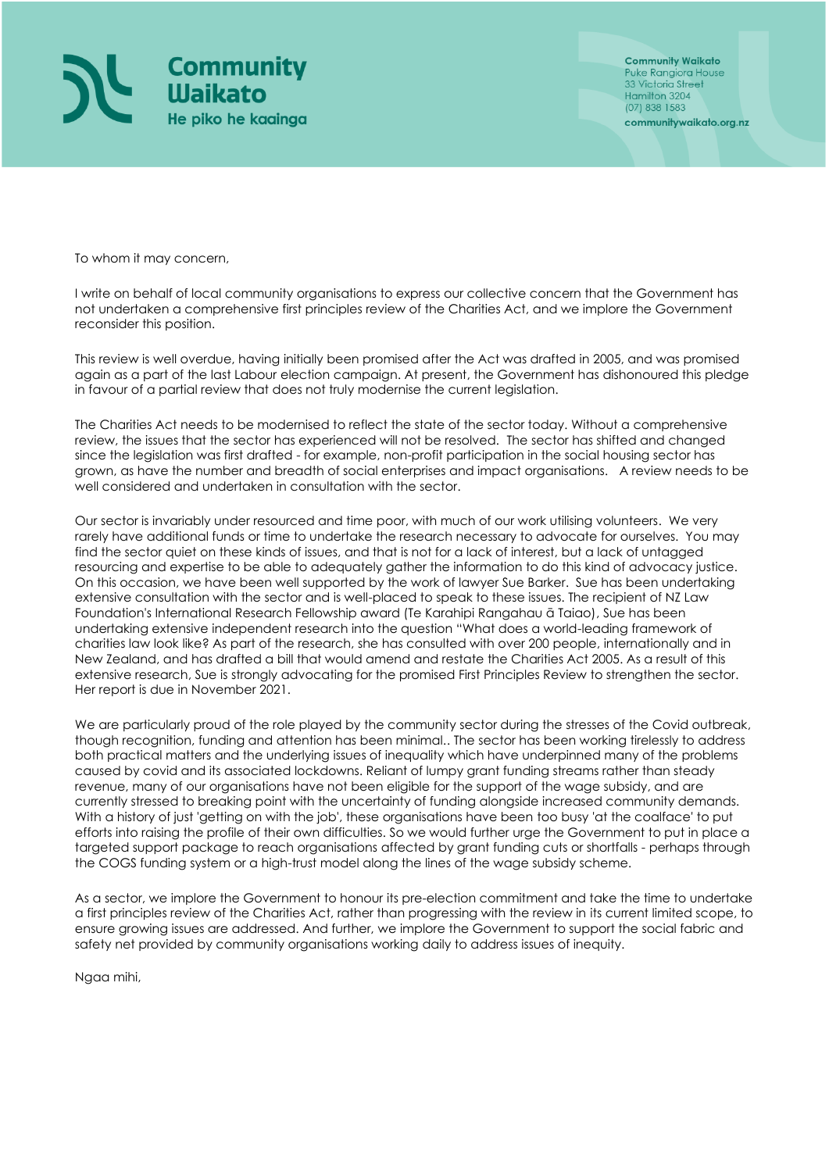

**Community Waikato** Puke Rangiora House<br>33 Victoria Street Hamilton 3204 (07) 838 1583 communitywaikato.org.nz

To whom it may concern,

I write on behalf of local community organisations to express our collective concern that the Government has not undertaken a comprehensive first principles review of the Charities Act, and we implore the Government reconsider this position.

This review is well overdue, having initially been promised after the Act was drafted in 2005, and was promised again as a part of the last Labour election campaign. At present, the Government has dishonoured this pledge in favour of a partial review that does not truly modernise the current legislation.

The Charities Act needs to be modernised to reflect the state of the sector today. Without a comprehensive review, the issues that the sector has experienced will not be resolved. The sector has shifted and changed since the legislation was first drafted - for example, non-profit participation in the social housing sector has grown, as have the number and breadth of social enterprises and impact organisations. A review needs to be well considered and undertaken in consultation with the sector.

Our sector is invariably under resourced and time poor, with much of our work utilising volunteers. We very rarely have additional funds or time to undertake the research necessary to advocate for ourselves. You may find the sector quiet on these kinds of issues, and that is not for a lack of interest, but a lack of untagged resourcing and expertise to be able to adequately gather the information to do this kind of advocacy justice. On this occasion, we have been well supported by the work of lawyer Sue Barker. Sue has been undertaking extensive consultation with the sector and is well-placed to speak to these issues. The recipient of NZ Law Foundation's International Research Fellowship award (Te Karahipi Rangahau ā Taiao), Sue has been undertaking extensive independent research into the question "What does a world-leading framework of charities law look like? As part of the research, she has consulted with over 200 people, internationally and in New Zealand, and has drafted a bill that would amend and restate the Charities Act 2005. As a result of this extensive research, Sue is strongly advocating for the promised First Principles Review to strengthen the sector. Her report is due in November 2021.

We are particularly proud of the role played by the community sector during the stresses of the Covid outbreak, though recognition, funding and attention has been minimal.. The sector has been working tirelessly to address both practical matters and the underlying issues of inequality which have underpinned many of the problems caused by covid and its associated lockdowns. Reliant of lumpy grant funding streams rather than steady revenue, many of our organisations have not been eligible for the support of the wage subsidy, and are currently stressed to breaking point with the uncertainty of funding alongside increased community demands. With a history of just 'getting on with the job', these organisations have been too busy 'at the coalface' to put efforts into raising the profile of their own difficulties. So we would further urge the Government to put in place a targeted support package to reach organisations affected by grant funding cuts or shortfalls - perhaps through the COGS funding system or a high-trust model along the lines of the wage subsidy scheme.

As a sector, we implore the Government to honour its pre-election commitment and take the time to undertake a first principles review of the Charities Act, rather than progressing with the review in its current limited scope, to ensure growing issues are addressed. And further, we implore the Government to support the social fabric and safety net provided by community organisations working daily to address issues of inequity.

Ngaa mihi,